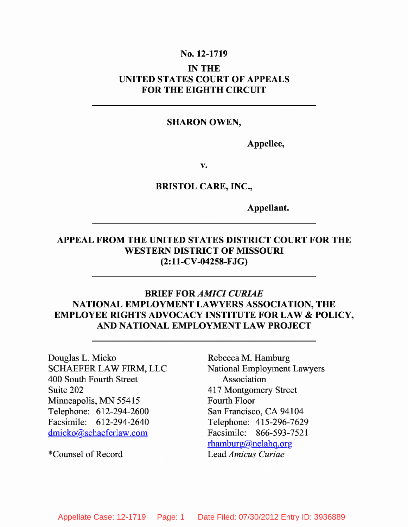#### **No. 12-1719**

### **IN THE UNITED STATES COURT OF APPEALS FOR THE EIGHTH CIRCUIT**

#### **SHARON OWEN,**

**Appellee,**

**v.**

**BRISTOL CARE, INC.,**

**Appellant.**

### **APPEAL FROM THE UNITED STATES DISTRICT COURT FOR THE WESTERN DISTRICT OF MISSOURI (2:11-CV-04258-FJG)**

## **BRIEF FOR** *AMICI CURIAE* **NATIONAL EMPLOYMENT LAWYERS ASSOCIATION, THE EMPLOYEE RIGHTS ADVOCACY INSTITUTE FOR LAW & POLICY, AND NATIONAL EMPLOYMENT LAW PROJECT**

Douglas L. Micko SCHAEFER LAW FIRM, LLC 400 South Fourth Street Suite 202 Minneapolis, MN 55415 Telephone: 612-294-2600 Facsimile: 612-294-2640 dmicko@schaeferlaw.com

\*Counsel of Record

Rebecca M. Hamburg National Employment Lawyers Association 417 Montgomery Street Fourth Floor San Francisco, CA 94104 Telephone: 415-296-7629 Facsimile: 866-593-7521 rhamburg@nelahq.org Lead *Amicus Curiae*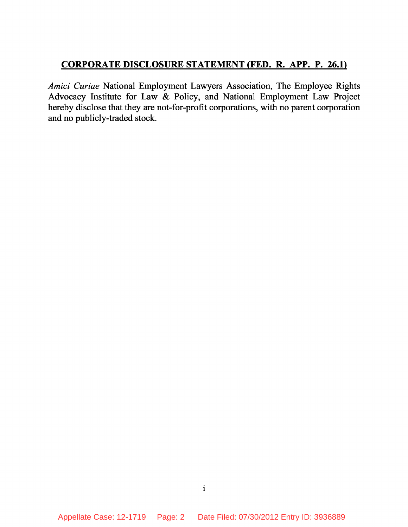#### **CORPORATE DISCLOSURE STATEMENT (FED. R. APP. P. 26.1)**

*Amici Curiae* National Employment Lawyers Association, The Employee Rights Advocacy Institute for Law & Policy, and National Employment Law Project hereby disclose that they are not-for-profit corporations, with no parent corporation and no publicly-traded stock.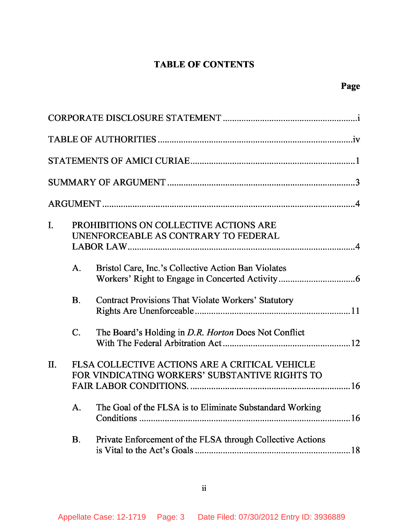# **TABLE OF CONTENTS**

| I. |           | PROHIBITIONS ON COLLECTIVE ACTIONS ARE<br>UNENFORCEABLE AS CONTRARY TO FEDERAL                   |  |
|----|-----------|--------------------------------------------------------------------------------------------------|--|
|    | A.        | Bristol Care, Inc.'s Collective Action Ban Violates                                              |  |
|    | <b>B.</b> | Contract Provisions That Violate Workers' Statutory                                              |  |
|    | C.        | The Board's Holding in D.R. Horton Does Not Conflict                                             |  |
| П. |           | FLSA COLLECTIVE ACTIONS ARE A CRITICAL VEHICLE<br>FOR VINDICATING WORKERS' SUBSTANTIVE RIGHTS TO |  |
|    | А.        | The Goal of the FLSA is to Eliminate Substandard Working                                         |  |
|    | <b>B.</b> | Private Enforcement of the FLSA through Collective Actions                                       |  |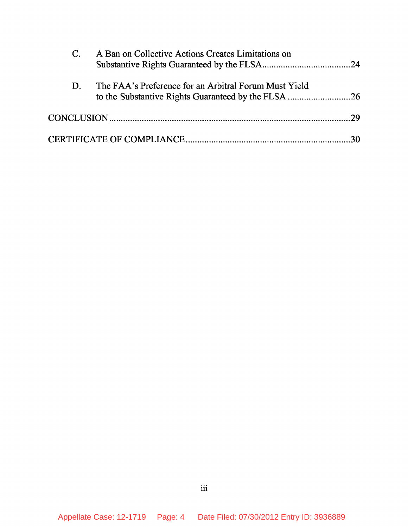|    | A Ban on Collective Actions Creates Limitations on    |  |
|----|-------------------------------------------------------|--|
| D. | The FAA's Preference for an Arbitral Forum Must Yield |  |
|    |                                                       |  |
|    |                                                       |  |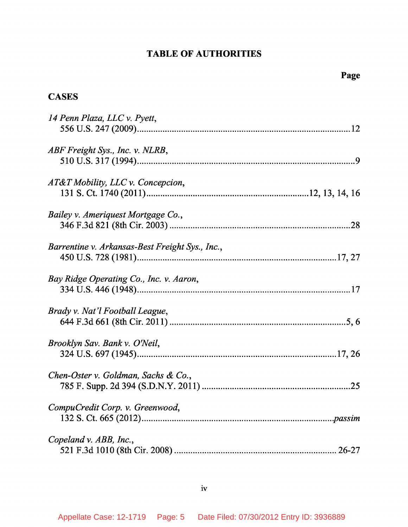# **TABLE OF AUTHORITIES**

# **CASES**

| 14 Penn Plaza, LLC v. Pyett,                    |
|-------------------------------------------------|
| ABF Freight Sys., Inc. v. NLRB,                 |
| AT&T Mobility, LLC v. Concepcion,               |
| Bailey v. Ameriquest Mortgage Co.,              |
| Barrentine v. Arkansas-Best Freight Sys., Inc., |
| Bay Ridge Operating Co., Inc. v. Aaron,         |
| Brady v. Nat'l Football League,                 |
| Brooklyn Sav. Bank v. O'Neil,                   |
| Chen-Oster v. Goldman, Sachs & Co.,             |
| CompuCredit Corp. v. Greenwood,                 |
| Copeland v. ABB, Inc.,                          |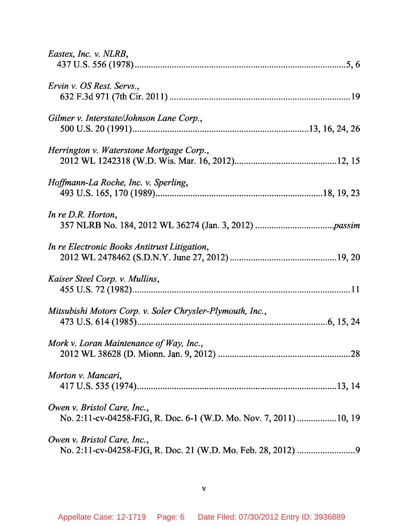| Eastex, Inc. v. NLRB,                                                                            |
|--------------------------------------------------------------------------------------------------|
| Ervin v. OS Rest. Servs.,                                                                        |
| Gilmer v. Interstate/Johnson Lane Corp.,                                                         |
| Herrington v. Waterstone Mortgage Corp.,                                                         |
| Hoffmann-La Roche, Inc. v. Sperling,                                                             |
| In re D.R. Horton,                                                                               |
| In re Electronic Books Antitrust Litigation,                                                     |
| Kaiser Steel Corp. v. Mullins,                                                                   |
| Mitsubishi Motors Corp. v. Soler Chrysler-Plymouth, Inc.,                                        |
| Mork v. Loran Maintenance of Way, Inc.,                                                          |
| Morton v. Mancari,                                                                               |
| Owen v. Bristol Care, Inc.,<br>No. 2:11-cv-04258-FJG, R. Doc. 6-1 (W.D. Mo. Nov. 7, 2011) 10, 19 |
| Owen v. Bristol Care, Inc.,                                                                      |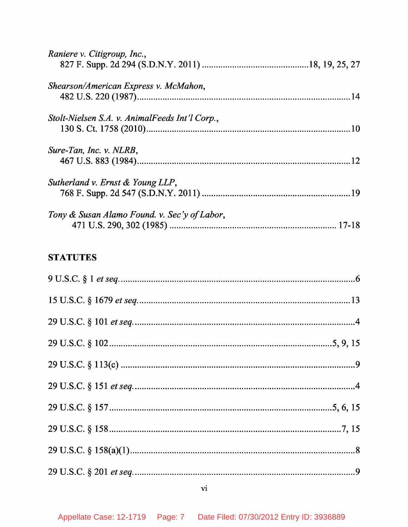| Raniere v. Citigroup, Inc.,                    |  |
|------------------------------------------------|--|
|                                                |  |
| Shearson/American Express v. McMahon,          |  |
|                                                |  |
| Stolt-Nielsen S.A. v. AnimalFeeds Int'l Corp., |  |
|                                                |  |
| Sure-Tan, Inc. v. NLRB,                        |  |
|                                                |  |
| Sutherland v. Ernst & Young LLP,               |  |
|                                                |  |
| Tony & Susan Alamo Found. v. Sec'y of Labor,   |  |
|                                                |  |

# **STATUTES**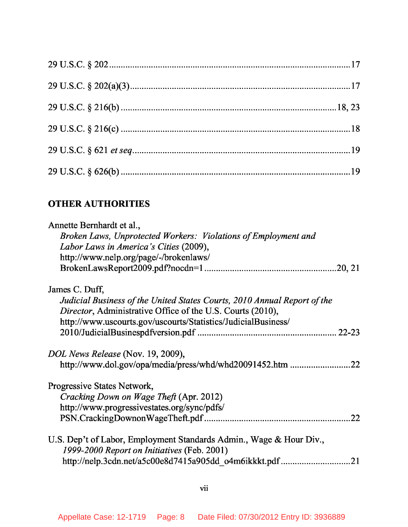# **OTHER AUTHORITIES**

| Annette Bernhardt et al.,                                                |
|--------------------------------------------------------------------------|
| Broken Laws, Unprotected Workers: Violations of Employment and           |
| Labor Laws in America's Cities (2009),                                   |
| http://www.nelp.org/page/-/brokenlaws/                                   |
|                                                                          |
| James C. Duff,                                                           |
| Judicial Business of the United States Courts, 2010 Annual Report of the |
| Director, Administrative Office of the U.S. Courts (2010),               |
| http://www.uscourts.gov/uscourts/Statistics/JudicialBusiness/            |
|                                                                          |
| DOL News Release (Nov. 19, 2009),                                        |
| http://www.dol.gov/opa/media/press/whd/whd20091452.htm<br>.22            |
| Progressive States Network,                                              |
| Cracking Down on Wage Theft (Apr. 2012)                                  |
| http://www.progressivestates.org/sync/pdfs/                              |
| 22                                                                       |
| U.S. Dep't of Labor, Employment Standards Admin., Wage & Hour Div.,      |
| 1999-2000 Report on Initiatives (Feb. 2001)                              |
|                                                                          |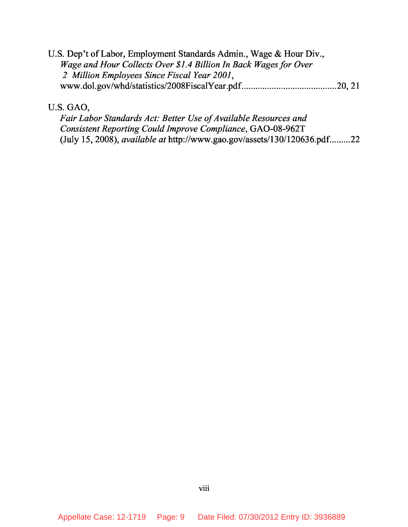U.S. Dep't of Labor, Employment Standards Admin., Wage & Hour Div., *Wage and Hour Collects Over \$1.4 Billion In Back Wages for Over 2 Million Employees Since Fiscal Year 2001* , www.dol.gov/whd/statistics/2008FiscalYear.pdf 20, 21

U.S. GAO,

*Fair Labor Standards Act: Better Use of Available Resources and Consistent Reporting Could Improve Compliance*, GAO-08-962T (July 15, 2008), *available at* http://www.gao.gov/assets/130/120636.pdf.........22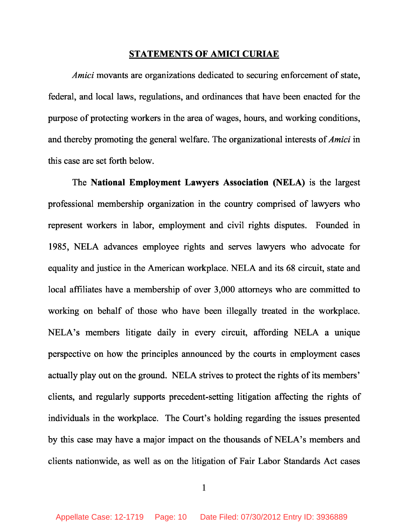#### **STATEMENTS OF AMICI CURIAE**

*Amici* movants are organizations dedicated to securing enforcement of state, federal, and local laws, regulations, and ordinances that have been enacted for the purpose of protecting workers in the area of wages, hours, and working conditions, and thereby promoting the general welfare. The organizational interests of *Amici* in this case are set forth below.

The **National Employment Lawyers Association (NELA)** is the largest professional membership organization in the country comprised of lawyers who represent workers in labor, employment and civil rights disputes. Founded in 1985, NELA advances employee rights and serves lawyers who advocate for equality and justice in the American workplace. NELA and its 68 circuit, state and local affiliates have a membership of over 3,000 attorneys who are committed to working on behalf of those who have been illegally treated in the workplace. NELA's members litigate daily in every circuit, affording NELA a unique perspective on how the principles announced by the courts in employment cases actually play out on the ground. NELA strives to protect the rights of its members' clients, and regularly supports precedent-setting litigation affecting the rights of individuals in the workplace. The Court's holding regarding the issues presented by this case may have a major impact on the thousands of NELA's members and clients nationwide, as well as on the litigation of Fair Labor Standards Act cases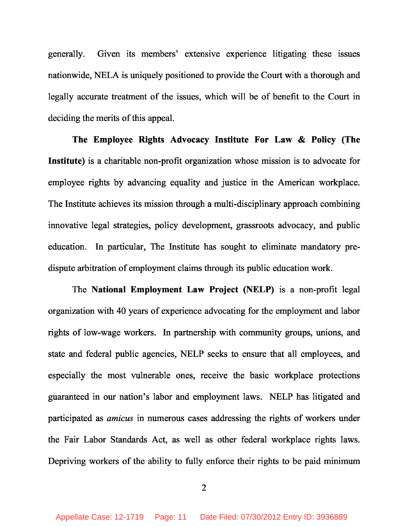generally. Given its members' extensive experience litigating these issues nationwide, NELA is uniquely positioned to provide the Court with a thorough and legally accurate treatment of the issues, which will be of benefit to the Court in deciding the merits of this appeal.

**The Employee Rights Advocacy Institute For Law & Policy (The Institute)** is a charitable non-profit organization whose mission is to advocate for employee rights by advancing equality and justice in the American workplace. The Institute achieves its mission through a multi-disciplinary approach combining innovative legal strategies, policy development, grassroots advocacy, and public education. In particular, The Institute has sought to eliminate mandatory predispute arbitration of employment claims through its public education work.

The **National Employment Law Project (NELP)** is a non-profit legal organization with 40 years of experience advocating for the employment and labor rights of low-wage workers. In partnership with community groups, unions, and state and federal public agencies, NELP seeks to ensure that all employees, and especially the most vulnerable ones, receive the basic workplace protections guaranteed in our nation's labor and employment laws. NELP has litigated and participated as *amicus* in numerous cases addressing the rights of workers under the Fair Labor Standards Act, as well as other federal workplace rights laws. Depriving workers of the ability to fully enforce their rights to be paid minimum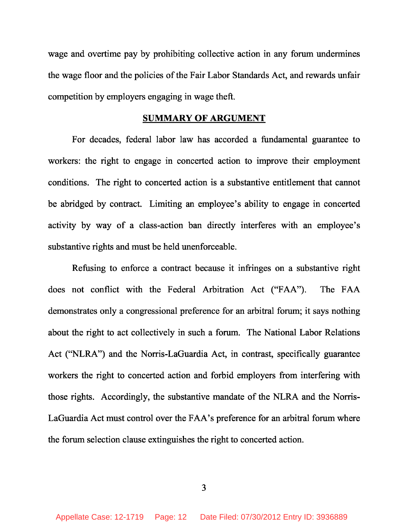wage and overtime pay by prohibiting collective action in any forum undermines the wage floor and the policies of the Fair Labor Standards Act, and rewards unfair competition by employers engaging in wage theft.

#### **SUMMARY OF ARGUMENT**

For decades, federal labor law has accorded a fundamental guarantee to workers: the right to engage in concerted action to improve their employment conditions. The right to concerted action is a substantive entitlement that cannot be abridged by contract. Limiting an employee's ability to engage in concerted activity by way of a class-action ban directly interferes with an employee's substantive rights and must be held unenforceable.

Refusing to enforce a contract because it infringes on a substantive right does not conflict with the Federal Arbitration Act ("FAA"). The FAA demonstrates only a congressional preference for an arbitral forum; it says nothing about the right to act collectively in such a forum. The National Labor Relations Act ("NLRA") and the Norris-LaGuardia Act, in contrast, specifically guarantee workers the right to concerted action and forbid employers from interfering with those rights. Accordingly, the substantive mandate of the NLRA and the Norris-LaGuardia Act must control over the FAA's preference for an arbitral forum where the forum selection clause extinguishes the right to concerted action.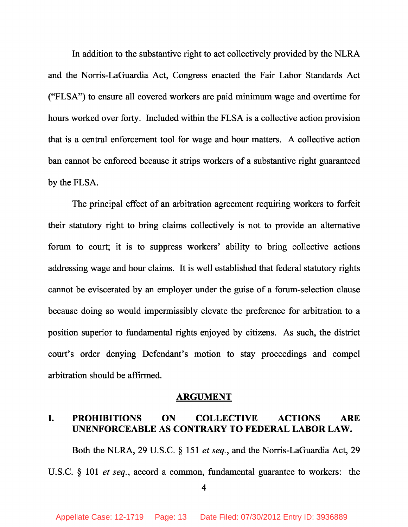In addition to the substantive right to act collectively provided by the NLRA and the Norris-LaGuardia Act, Congress enacted the Fair Labor Standards Act ("FLSA") to ensure all covered workers are paid minimum wage and overtime for hours worked over forty. Included within the FLSA is a collective action provision that is a central enforcement tool for wage and hour matters. A collective action ban cannot be enforced because it strips workers of a substantive right guaranteed by the FLSA.

The principal effect of an arbitration agreement requiring workers to forfeit their statutory right to bring claims collectively is not to provide an alternative forum to court; it is to suppress workers' ability to bring collective actions addressing wage and hour claims. It is well established that federal statutory rights cannot be eviscerated by an employer under the guise of a forum-selection clause because doing so would impermissibly elevate the preference for arbitration to a position superior to fundamental rights enjoyed by citizens. As such, the district court's order denying Defendant's motion to stay proceedings and compel arbitration should be affirmed.

#### **ARGUMENT**

## **I. PROHIBITIONS ON COLLECTIVE ACTIONS ARE UNENFORCEABLE AS CONTRARY TO FEDERAL LABOR LAW.**

Both the NLRA, 29 U.S.C. § 151 *et seq.* , and the Norris-LaGuardia Act, 29

U.S.C. § 101 *et seq.* , accord a common, fundamental guarantee to workers: the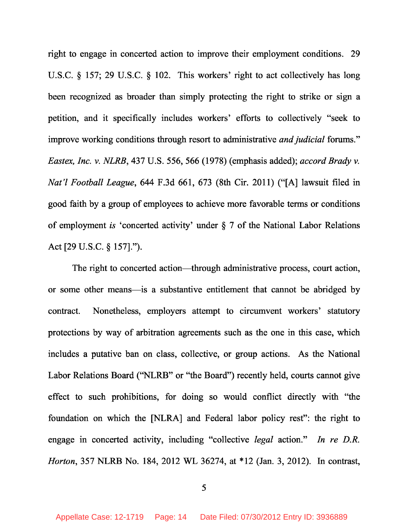right to engage in concerted action to improve their employment conditions. 29 U.S.C. § 157; 29 U.S.C. § 102. This workers' right to act collectively has long been recognized as broader than simply protecting the right to strike or sign a petition, and it specifically includes workers' efforts to collectively "seek to improve working conditions through resort to administrative *and judicial* forums." *Eastex, Inc. v. NLRB*, 437 U.S. 556, 566 (1978) (emphasis added); *accord Brady v. Nat'l Football League*, 644 F.3d 661, 673 (8th Cir. 2011) ("[A] lawsuit filed in good faith by a group of employees to achieve more favorable terms or conditions of employment *is* 'concerted activity' under § 7 of the National Labor Relations Act [29 U.S.C. § 157].").

The right to concerted action—through administrative process, court action, or some other means—is a substantive entitlement that cannot be abridged by contract. Nonetheless, employers attempt to circumvent workers' statutory protections by way of arbitration agreements such as the one in this case, which includes a putative ban on class, collective, or group actions. As the National Labor Relations Board ("NLRB" or "the Board") recently held, courts cannot give effect to such prohibitions, for doing so would conflict directly with "the foundation on which the [NLRA] and Federal labor policy rest": the right to engage in concerted activity, including "collective *legal* action." *In re D.R. Horton*, 357 NLRB No. 184, 2012 WL 36274, at \*12 (Jan. 3, 2012). In contrast,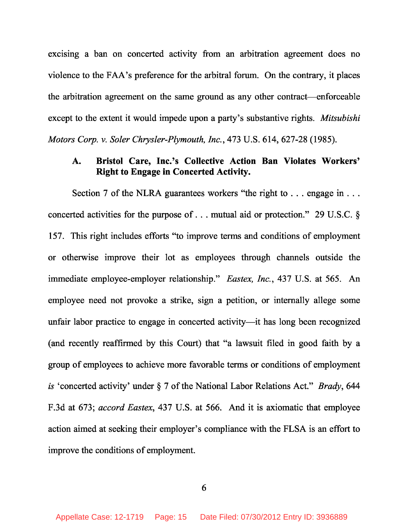excising a ban on concerted activity from an arbitration agreement does no violence to the FAA's preference for the arbitral forum. On the contrary, it places the arbitration agreement on the same ground as any other contract—enforceable except to the extent it would impede upon a party's substantive rights. *Mitsubishi Motors Corp. v. Soler Chrysler-Plymouth, Inc.* , 473 U.S. 614, 627-28 (1985).

#### **A. Bristol Care, Inc.'s Collective Action Ban Violates Workers' Right to Engage in Concerted Activity.**

Section 7 of the NLRA guarantees workers "the right to . . . engage in . . . concerted activities for the purpose of . . . mutual aid or protection." 29 U.S.C. § 157. This right includes efforts "to improve terms and conditions of employment or otherwise improve their lot as employees through channels outside the immediate employee-employer relationship." *Eastex, Inc.* , 437 U.S. at 565. An employee need not provoke a strike, sign a petition, or internally allege some unfair labor practice to engage in concerted activity—it has long been recognized (and recently reaffirmed by this Court) that "a lawsuit filed in good faith by a group of employees to achieve more favorable terms or conditions of employment *is* 'concerted activity' under § 7 of the National Labor Relations Act." *Brady*, 644 F.3d at 673; *accord Eastex*, 437 U.S. at 566. And it is axiomatic that employee action aimed at seeking their employer's compliance with the FLSA is an effort to improve the conditions of employment.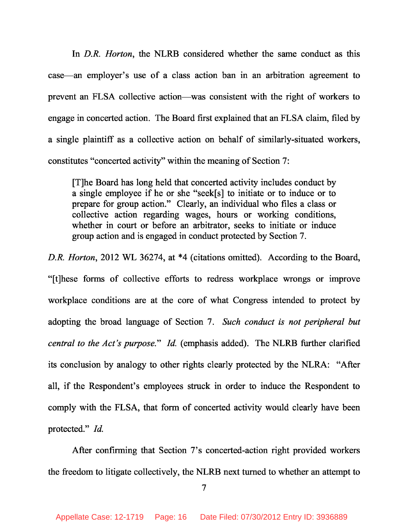In *D.R. Horton*, the NLRB considered whether the same conduct as this case—an employer's use of a class action ban in an arbitration agreement to prevent an FLSA collective action—was consistent with the right of workers to engage in concerted action. The Board first explained that an FLSA claim, filed by a single plaintiff as a collective action on behalf of similarly-situated workers, constitutes "concerted activity" within the meaning of Section 7:

[T]he Board has long held that concerted activity includes conduct by a single employee if he or she "seek[s] to initiate or to induce or to prepare for group action." Clearly, an individual who files a class or collective action regarding wages, hours or working conditions, whether in court or before an arbitrator, seeks to initiate or induce group action and is engaged in conduct protected by Section 7.

*D.R. Horton*, 2012 WL 36274, at \*4 (citations omitted). According to the Board, "[t]hese forms of collective efforts to redress workplace wrongs or improve workplace conditions are at the core of what Congress intended to protect by adopting the broad language of Section 7. *Such conduct is not peripheral but central to the Act's purpose.*" *Id.* (emphasis added). The NLRB further clarified its conclusion by analogy to other rights clearly protected by the NLRA: "After all, if the Respondent's employees struck in order to induce the Respondent to comply with the FLSA, that form of concerted activity would clearly have been protected." *Id.*

After confirming that Section 7's concerted-action right provided workers the freedom to litigate collectively, the NLRB next turned to whether an attempt to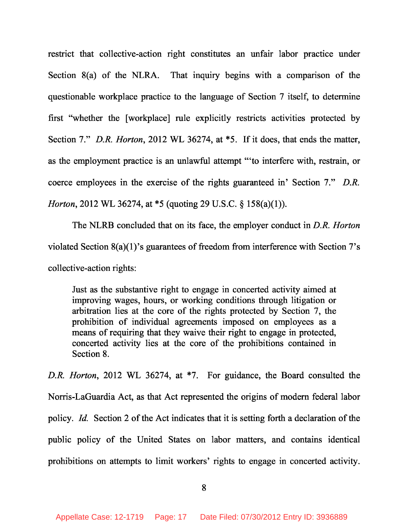restrict that collective-action right constitutes an unfair labor practice under Section 8(a) of the NLRA. That inquiry begins with a comparison of the questionable workplace practice to the language of Section 7 itself, to determine first "whether the [workplace] rule explicitly restricts activities protected by Section 7." *D.R. Horton*, 2012 WL 36274, at \*5. If it does, that ends the matter, as the employment practice is an unlawful attempt "'to interfere with, restrain, or coerce employees in the exercise of the rights guaranteed in' Section 7." *D.R. Horton*, 2012 WL 36274, at \*5 (quoting 29 U.S.C. § 158(a)(1)).

The NLRB concluded that on its face, the employer conduct in *D.R. Horton* violated Section 8(a)(1)'s guarantees of freedom from interference with Section 7's collective-action rights:

Just as the substantive right to engage in concerted activity aimed at improving wages, hours, or working conditions through litigation or arbitration lies at the core of the rights protected by Section 7, the prohibition of individual agreements imposed on employees as a means of requiring that they waive their right to engage in protected, concerted activity lies at the core of the prohibitions contained in Section 8.

*D.R. Horton*, 2012 WL 36274, at \*7. For guidance, the Board consulted the Norris-LaGuardia Act, as that Act represented the origins of modern federal labor policy. *Id.* Section 2 of the Act indicates that it is setting forth a declaration of the public policy of the United States on labor matters, and contains identical prohibitions on attempts to limit workers' rights to engage in concerted activity.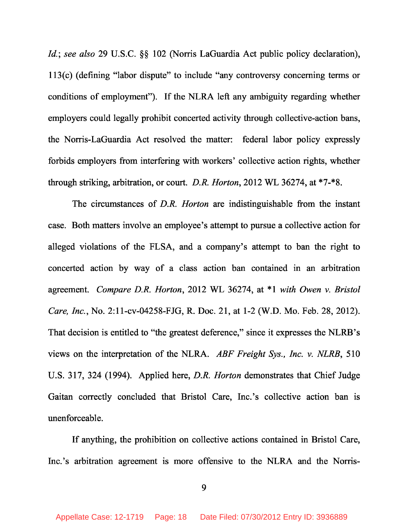*Id.*; *see also* 29 U.S.C. §§ 102 (Norris LaGuardia Act public policy declaration), 113(c) (defining "labor dispute" to include "any controversy concerning terms or conditions of employment"). If the NLRA left any ambiguity regarding whether employers could legally prohibit concerted activity through collective-action bans, the Norris-LaGuardia Act resolved the matter: federal labor policy expressly forbids employers from interfering with workers' collective action rights, whether through striking, arbitration, or court. *D.R. Horton*, 2012 WL 36274, at \*7-\*8.

The circumstances of *D.R. Horton* are indistinguishable from the instant case. Both matters involve an employee's attempt to pursue a collective action for alleged violations of the FLSA, and a company's attempt to ban the right to concerted action by way of a class action ban contained in an arbitration agreement. *Compare D.R. Horton* , 2012 WL 36274, at \*1 *with Owen v. Bristol Care, Inc.* , No. 2:11-cv-04258-FJG, R. Doc. 21, at 1-2 (W.D. Mo. Feb. 28, 2012). That decision is entitled to "the greatest deference," since it expresses the NLRB's views on the interpretation of the NLRA. *ABF Freight Sys., Inc. v. NLRB*, 510 U.S. 317, 324 (1994). Applied here, *D.R. Horton* demonstrates that Chief Judge Gaitan correctly concluded that Bristol Care, Inc.'s collective action ban is unenforceable.

If anything, the prohibition on collective actions contained in Bristol Care, Inc.'s arbitration agreement is more offensive to the NLRA and the Norris-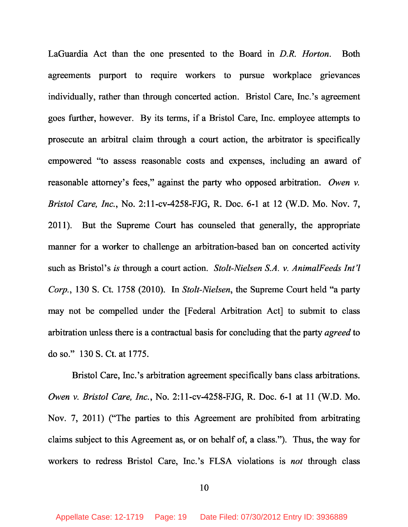LaGuardia Act than the one presented to the Board in *D.R. Horton*. Both agreements purport to require workers to pursue workplace grievances individually, rather than through concerted action. Bristol Care, Inc.'s agreement goes further, however. By its terms, if a Bristol Care, Inc. employee attempts to prosecute an arbitral claim through a court action, the arbitrator is specifically empowered "to assess reasonable costs and expenses, including an award of reasonable attorney's fees," against the party who opposed arbitration. *Owen v. Bristol Care, Inc.* , No. 2:11-cv-4258-FJG, R. Doc. 6-1 at 12 (W.D. Mo. Nov. 7, 2011). But the Supreme Court has counseled that generally, the appropriate manner for a worker to challenge an arbitration-based ban on concerted activity such as Bristol's *is* through a court action. *Stolt-Nielsen S.A. v. AnimalFeeds Int'l Corp.*, 130 S. Ct. 1758 (2010). In *Stolt-Nielsen*, the Supreme Court held "a party may not be compelled under the [Federal Arbitration Act] to submit to class arbitration unless there is a contractual basis for concluding that the party *agreed* to do so." 130 S. Ct. at 1775.

Bristol Care, Inc.'s arbitration agreement specifically bans class arbitrations. *Owen v. Bristol Care, Inc.* , No. 2:11-cv-4258-FJG, R. Doc. 6-1 at 11 (W.D. Mo. Nov. 7, 2011) ("The parties to this Agreement are prohibited from arbitrating claims subject to this Agreement as, or on behalf of, a class."). Thus, the way for workers to redress Bristol Care, Inc.'s FLSA violations is *not* through class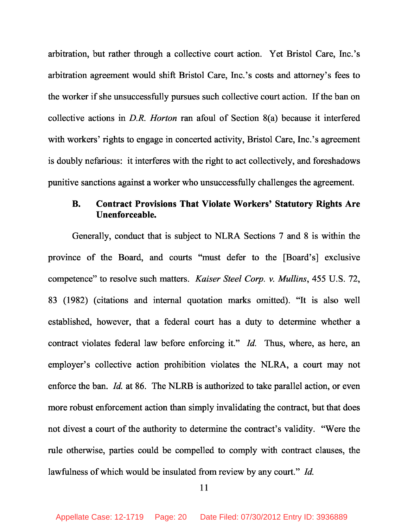arbitration, but rather through a collective court action. Yet Bristol Care, Inc.'s arbitration agreement would shift Bristol Care, Inc.'s costs and attorney's fees to the worker if she unsuccessfully pursues such collective court action. If the ban on collective actions in *D.R. Horton* ran afoul of Section 8(a) because it interfered with workers' rights to engage in concerted activity, Bristol Care, Inc.'s agreement is doubly nefarious: it interferes with the right to act collectively, and foreshadows punitive sanctions against a worker who unsuccessfully challenges the agreement.

## **B. Contract Provisions That Violate Workers' Statutory Rights Are Unenforceable.**

Generally, conduct that is subject to NLRA Sections 7 and 8 is within the province of the Board, and courts "must defer to the [Board's] exclusive competence" to resolve such matters. *Kaiser Steel Corp. v. Mullins*, 455 U.S. 72, 83 (1982) (citations and internal quotation marks omitted). "It is also well established, however, that a federal court has a duty to determine whether a contract violates federal law before enforcing it." *Id.* Thus, where, as here, an employer's collective action prohibition violates the NLRA, a court may not enforce the ban. *Id.* at 86. The NLRB is authorized to take parallel action, or even more robust enforcement action than simply invalidating the contract, but that does not divest a court of the authority to determine the contract's validity. "Were the rule otherwise, parties could be compelled to comply with contract clauses, the lawfulness of which would be insulated from review by any court." *Id.*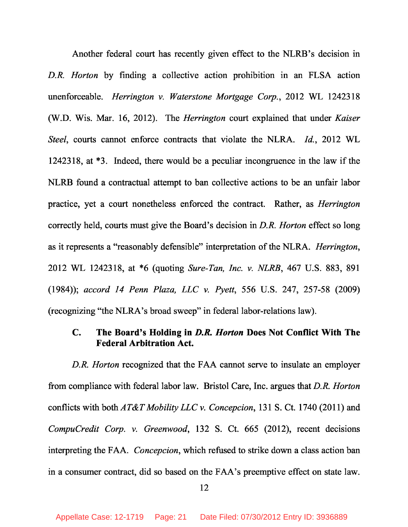Another federal court has recently given effect to the NLRB's decision in *D.R. Horton* by finding a collective action prohibition in an FLSA action unenforceable. *Herrington v. Waterstone Mortgage Corp.* , 2012 WL 1242318 (W.D. Wis. Mar. 16, 2012). The *Herrington* court explained that under *Kaiser Steel*, courts cannot enforce contracts that violate the NLRA. *Id.*, 2012 WL 1242318, at \*3. Indeed, there would be a peculiar incongruence in the law if the NLRB found a contractual attempt to ban collective actions to be an unfair labor practice, yet a court nonetheless enforced the contract. Rather, as *Herrington* correctly held, courts must give the Board's decision in *D.R. Horton* effect so long as it represents a "reasonably defensible" interpretation of the NLRA. *Herrington*, 2012 WL 1242318, at \*6 (quoting *Sure-Tan, Inc. v. NLRB*, 467 U.S. 883, 891 (1984)); *accord 14 Penn Plaza, LLC v. Pyett*, 556 U.S. 247, 257-58 (2009) (recognizing "the NLRA's broad sweep" in federal labor-relations law).

### **C. The Board's Holding in** *D.R. Horton* **Does Not Conflict With The Federal Arbitration Act.**

*D.R. Horton* recognized that the FAA cannot serve to insulate an employer from compliance with federal labor law. Bristol Care, Inc. argues that *D.R. Horton* conflicts with both *AT&T Mobility LLC v. Concepcion*, 131 S. Ct. 1740 (2011) and *CompuCredit Corp. v. Greenwood*, 132 S. Ct. 665 (2012), recent decisions interpreting the FAA. *Concepcion*, which refused to strike down a class action ban in a consumer contract, did so based on the FAA's preemptive effect on state law.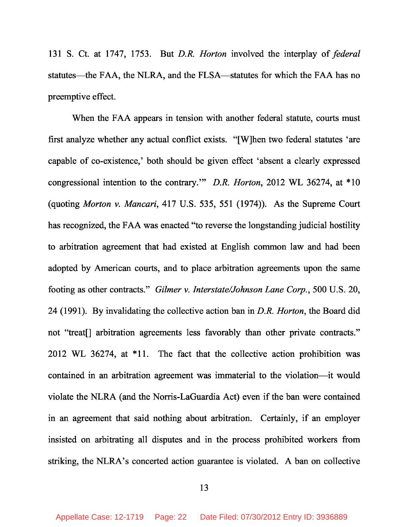131 S. Ct. at 1747, 1753. But *D.R. Horton* involved the interplay of *federal* statutes—the FAA, the NLRA, and the FLSA—statutes for which the FAA has no preemptive effect.

When the FAA appears in tension with another federal statute, courts must first analyze whether any actual conflict exists. "[W]hen two federal statutes 'are capable of co-existence,' both should be given effect 'absent a clearly expressed congressional intention to the contrary.'" *D.R. Horton*, 2012 WL 36274, at \*10 (quoting *Morton v. Mancari*, 417 U.S. 535, 551 (1974)). As the Supreme Court has recognized, the FAA was enacted "to reverse the longstanding judicial hostility to arbitration agreement that had existed at English common law and had been adopted by American courts, and to place arbitration agreements upon the same footing as other contracts." *Gilmer v. Interstate/Johnson Lane Corp.* , 500 U.S. 20, 24 (1991). By invalidating the collective action ban in *D.R. Horton*, the Board did not "treat[] arbitration agreements less favorably than other private contracts." 2012 WL 36274, at \*11. The fact that the collective action prohibition was contained in an arbitration agreement was immaterial to the violation—it would violate the NLRA (and the Norris-LaGuardia Act) even if the ban were contained in an agreement that said nothing about arbitration. Certainly, if an employer insisted on arbitrating all disputes and in the process prohibited workers from striking, the NLRA's concerted action guarantee is violated. A ban on collective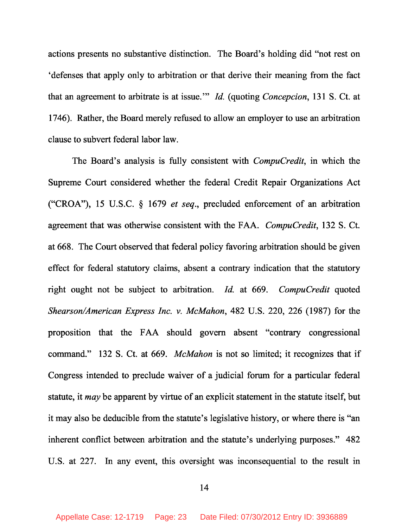actions presents no substantive distinction. The Board's holding did "not rest on 'defenses that apply only to arbitration or that derive their meaning from the fact that an agreement to arbitrate is at issue." *Id.* (quoting *Concepcion*, 131 S. Ct. at 1746). Rather, the Board merely refused to allow an employer to use an arbitration clause to subvert federal labor law.

The Board's analysis is fully consistent with *CompuCredit*, in which the Supreme Court considered whether the federal Credit Repair Organizations Act ("CROA"), 15 U.S.C. § 1679 *et seq*., precluded enforcement of an arbitration agreement that was otherwise consistent with the FAA. *CompuCredit*, 132 S. Ct. at 668. The Court observed that federal policy favoring arbitration should be given effect for federal statutory claims, absent a contrary indication that the statutory right ought not be subject to arbitration. *Id.* at 669. *CompuCredit* quoted *Shearson/American Express Inc. v. McMahon*, 482 U.S. 220, 226 (1987) for the proposition that the FAA should govern absent "contrary congressional command." 132 S. Ct. at 669. *McMahon* is not so limited; it recognizes that if Congress intended to preclude waiver of a judicial forum for a particular federal statute, it *may* be apparent by virtue of an explicit statement in the statute itself, but it may also be deducible from the statute's legislative history, or where there is "an inherent conflict between arbitration and the statute's underlying purposes." 482 U.S. at 227. In any event, this oversight was inconsequential to the result in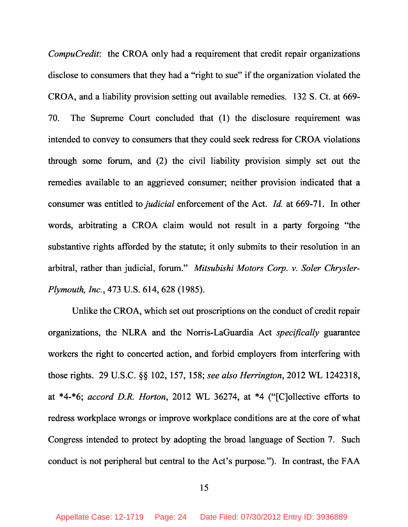*CompuCredit*: the CROA only had a requirement that credit repair organizations disclose to consumers that they had a "right to sue" if the organization violated the CROA, and a liability provision setting out available remedies. 132 S. Ct. at 669- 70. The Supreme Court concluded that (1) the disclosure requirement was intended to convey to consumers that they could seek redress for CROA violations through some forum, and (2) the civil liability provision simply set out the remedies available to an aggrieved consumer; neither provision indicated that a consumer was entitled to *judicial* enforcement of the Act. *Id.* at 669-71. In other words, arbitrating a CROA claim would not result in a party forgoing "the substantive rights afforded by the statute; it only submits to their resolution in an arbitral, rather than judicial, forum." *Mitsubishi Motors Corp. v. Soler Chrysler-Plymouth, Inc.* , 473 U.S. 614, 628 (1985).

Unlike the CROA, which set out proscriptions on the conduct of credit repair organizations, the NLRA and the Norris-LaGuardia Act *specifically* guarantee workers the right to concerted action, and forbid employers from interfering with those rights. 29 U.S.C. §§ 102, 157, 158; *see also Herrington*, 2012 WL 1242318, at \*4-\*6; *accord D.R. Horton*, 2012 WL 36274, at \*4 ("[C]ollective efforts to redress workplace wrongs or improve workplace conditions are at the core of what Congress intended to protect by adopting the broad language of Section 7. Such conduct is not peripheral but central to the Act's purpose*.* "). In contrast, the FAA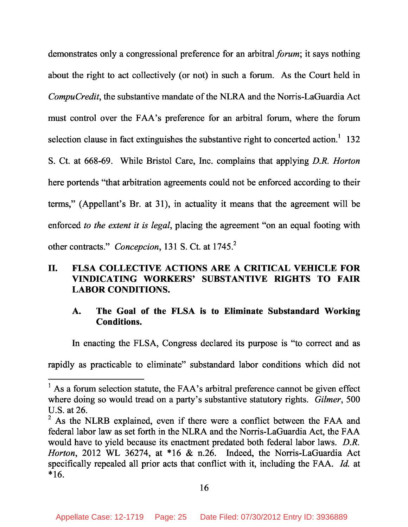demonstrates only a congressional preference for an arbitral *forum*; it says nothing about the right to act collectively (or not) in such a forum. As the Court held in *CompuCredit*, the substantive mandate of the NLRA and the Norris-LaGuardia Act must control over the FAA's preference for an arbitral forum, where the forum selection clause in fact extinguishes the substantive right to concerted action.<sup>1</sup> 132 S. Ct. at 668-69. While Bristol Care, Inc. complains that applying *D.R. Horton* here portends "that arbitration agreements could not be enforced according to their terms," (Appellant's Br. at 31), in actuality it means that the agreement will be enforced *to the extent it is legal*, placing the agreement "on an equal footing with other contracts." *Concepcion*, 131 S. Ct. at 1745. <sup>2</sup>

## **II. FLSA COLLECTIVE ACTIONS ARE A CRITICAL VEHICLE FOR VINDICATING WORKERS' SUBSTANTIVE RIGHTS TO FAIR LABOR CONDITIONS.**

### **A. The Goal of the FLSA is to Eliminate Substandard Working Conditions.**

In enacting the FLSA, Congress declared its purpose is "to correct and as

rapidly as practicable to eliminate" substandard labor conditions which did not

 $<sup>1</sup>$  As a forum selection statute, the FAA's arbitral preference cannot be given effect</sup> where doing so would tread on a party's substantive statutory rights. *Gilmer*, 500 U.S. at 26.

 $2$  As the NLRB explained, even if there were a conflict between the FAA and federal labor law as set forth in the NLRA and the Norris-LaGuardia Act, the FAA would have to yield because its enactment predated both federal labor laws. *D.R. Horton*, 2012 WL 36274, at \* 16 & n.26. Indeed, the Norris-LaGuardia Act specifically repealed all prior acts that conflict with it, including the FAA. *Id.* at \*16.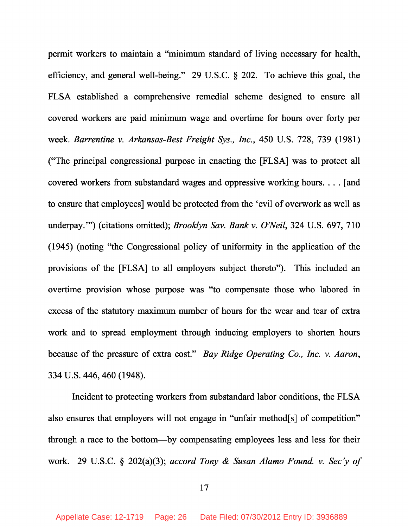permit workers to maintain a "minimum standard of living necessary for health, efficiency, and general well-being." 29 U.S.C. § 202. To achieve this goal, the FLSA established a comprehensive remedial scheme designed to ensure all covered workers are paid minimum wage and overtime for hours over forty per week. *Barrentine v. Arkansas-Best Freight Sys., Inc.* , 450 U.S. 728, 739 (1981) ("The principal congressional purpose in enacting the [FLSA] was to protect all covered workers from substandard wages and oppressive working hours. . . . [and to ensure that employees] would be protected from the 'evil of overwork as well as underpay.'") (citations omitted); *Brooklyn Sav. Bank v. O'Neil*, 324 U.S. 697, 710 (1945) (noting "the Congressional policy of uniformity in the application of the provisions of the [FLSA] to all employers subject thereto"). This included an overtime provision whose purpose was "to compensate those who labored in excess of the statutory maximum number of hours for the wear and tear of extra work and to spread employment through inducing employers to shorten hours because of the pressure of extra cost." *Bay Ridge Operating Co., Inc. v. Aaron* , 334 U.S. 446, 460 (1948).

Incident to protecting workers from substandard labor conditions, the FLSA also ensures that employers will not engage in "unfair method[s] of competition" through a race to the bottom—by compensating employees less and less for their work. 29 U.S.C. § 202(a)(3); *accord Tony & Susan Alamo Found. v. Sec'y of*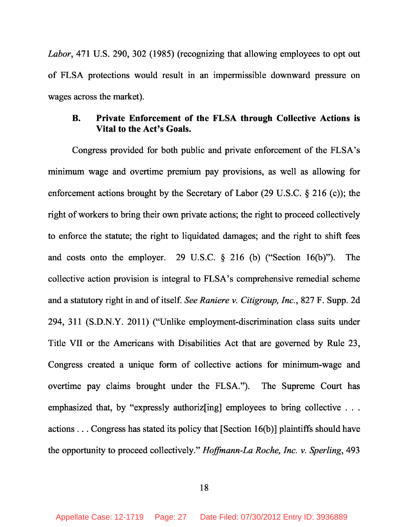*Labor*, 471 U.S. 290, 302 (1985) (recognizing that allowing employees to opt out of FLSA protections would result in an impermissible downward pressure on wages across the market).

## **B. Private Enforcement of the FLSA through Collective Actions is Vital to the Act's Goals.**

Congress provided for both public and private enforcement of the FLSA's minimum wage and overtime premium pay provisions, as well as allowing for enforcement actions brought by the Secretary of Labor (29 U.S.C. § 216 (c)); the right of workers to bring their own private actions; the right to proceed collectively to enforce the statute; the right to liquidated damages; and the right to shift fees and costs onto the employer. 29 U.S.C. § 216 (b) ("Section 16(b)"). The collective action provision is integral to FLSA's comprehensive remedial scheme and a statutory right in and of itself. *See Raniere v. Citigroup, Inc.* , 827 F. Supp. 2d 294, 311 (S.D.N.Y. 2011) ("Unlike employment-discrimination class suits under Title VII or the Americans with Disabilities Act that are governed by Rule 23, Congress created a unique form of collective actions for minimum-wage and overtime pay claims brought under the FLSA."). The Supreme Court has emphasized that, by "expressly authorizes in employees to bring collective ... actions . . . Congress has stated its policy that [Section 16(b)] plaintiffs should have the opportunity to proceed collectively." *Hoffmann-La Roche, Inc. v. Sperling*, 493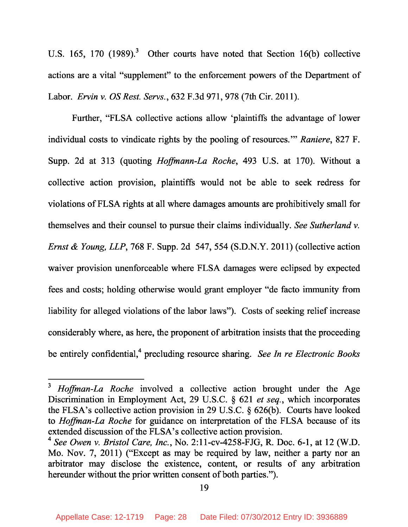U.S. 165, 170  $(1989)^3$  Other courts have noted that Section 16(b) collective actions are a vital "supplement" to the enforcement powers of the Department of Labor. *Ervin v. OS Rest. Servs.* , 632 F.3d 971, 978 (7th Cir. 2011).

Further, "FLSA collective actions allow 'plaintiffs the advantage of lower individual costs to vindicate rights by the pooling of resources.'" *Raniere*, 827 F. Supp. 2d at 313 (quoting *Hoffmann-La Roche*, 493 U.S. at 170). Without a collective action provision, plaintiffs would not be able to seek redress for violations of FLSA rights at all where damages amounts are prohibitively small for themselves and their counsel to pursue their claims individually. *See Sutherland v. Ernst & Young, LLP*, 768 F. Supp. 2d 547, 554 (S.D.N.Y. 2011) (collective action waiver provision unenforceable where FLSA damages were eclipsed by expected fees and costs; holding otherwise would grant employer "de facto immunity from liability for alleged violations of the labor laws"). Costs of seeking relief increase considerably where, as here, the proponent of arbitration insists that the proceeding be entirely confidential,<sup>4</sup> precluding resource sharing. *See In re Electronic Books* 

<sup>3</sup> *Hoffman-La Roche* involved a collective action brought under the Age Discrimination in Employment Act, 29 U.S.C. § 621 *et seq.* , which incorporates the FLSA's collective action provision in 29 U.S.C. § 626(b). Courts have looked to *Hoffman-La Roche* for guidance on interpretation of the FLSA because of its extended discussion of the FLSA's collective action provision.

<sup>4</sup> *See Owen v. Bristol Care, Inc.* , No. 2:11-cv-4258-FJG, R. Doc. 6-1, at 12 (W.D. Mo. Nov. 7, 2011) ("Except as may be required by law, neither a party nor an arbitrator may disclose the existence, content, or results of any arbitration hereunder without the prior written consent of both parties.").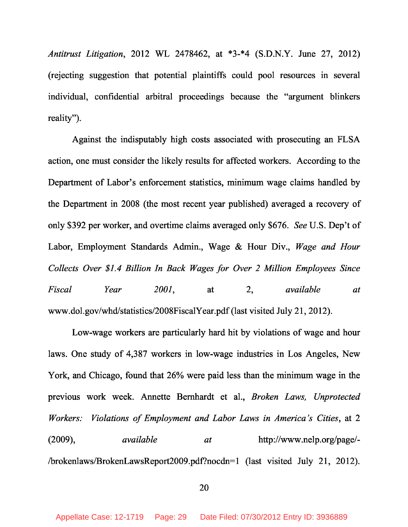*Antitrust Litigation*, 2012 WL 2478462, at \*3-\*4 (S.D.N.Y. June 27, 2012) (rejecting suggestion that potential plaintiffs could pool resources in several individual, confidential arbitral proceedings because the "argument blinkers reality").

Against the indisputably high costs associated with prosecuting an FLSA action, one must consider the likely results for affected workers. According to the Department of Labor's enforcement statistics, minimum wage claims handled by the Department in 2008 (the most recent year published) averaged a recovery of only \$392 per worker, and overtime claims averaged only \$676. *See* U.S. Dep't of Labor, Employment Standards Admin., Wage & Hour Div., *Wage and Hour Collects Over \$1.4 Billion In Back Wages for Over 2 Million Employees Since Fiscal Year 2001*, at 2, *available at* www.dol.gov/whd/statistics/2008FiscalYear.pdf (last visited July 21, 2012).

Low-wage workers are particularly hard hit by violations of wage and hour laws. One study of 4,387 workers in low-wage industries in Los Angeles, New York, and Chicago, found that 26% were paid less than the minimum wage in the previous work week. Annette Bernhardt et al., *Broken Laws, Unprotected Workers: Violations of Employment and Labor Laws in America's Cities* , at 2 (2009), *available at* http://www.nelp.org/page/- /brokenlaws/BrokenLawsReport2009.pdf?nocdn=1 (last visited July 21, 2012).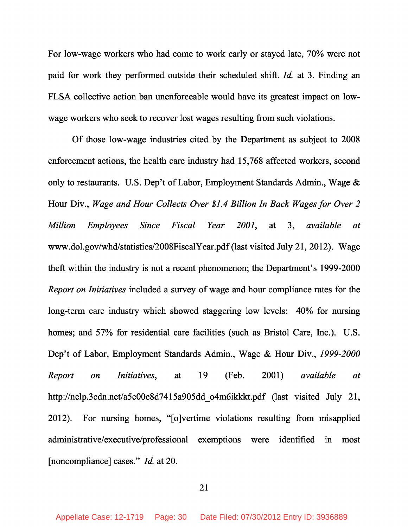For low-wage workers who had come to work early or stayed late, 70% were not paid for work they performed outside their scheduled shift. *Id.* at 3. Finding an FLSA collective action ban unenforceable would have its greatest impact on lowwage workers who seek to recover lost wages resulting from such violations.

Of those low-wage industries cited by the Department as subject to 2008 enforcement actions, the health care industry had 15,768 affected workers, second only to restaurants. U.S. Dep't of Labor, Employment Standards Admin., Wage & Hour Div., *Wage and Hour Collects Over \$1.4 Billion In Back Wages for Over 2 Million Employees Since Fiscal Year 2001*, at 3, *available at* www.dol.gov/whd/statistics/2008FiscalYear.pdf (last visited July 21, 2012). Wage theft within the industry is not a recent phenomenon; the Department's 1999-2000 *Report on Initiatives* included a survey of wage and hour compliance rates for the long-term care industry which showed staggering low levels: 40% for nursing homes; and 57% for residential care facilities (such as Bristol Care, Inc.). U.S. Dep't of Labor, Employment Standards Admin., Wage & Hour Div., *1999-2000 Report on Initiatives*, at 19 (Feb. 2001) *available at* http://nelp.3cdn.net/a5c00e8d7415a905dd o4m6ikkkt.pdf (last visited July 21, 2012). For nursing homes, "[o]vertime violations resulting from misapplied administrative/executive/professional exemptions were identified in most [noncompliance] cases." *Id.* at 20.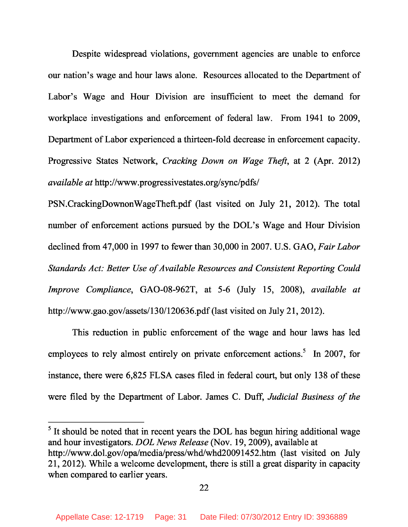Despite widespread violations, government agencies are unable to enforce our nation's wage and hour laws alone. Resources allocated to the Department of Labor's Wage and Hour Division are insufficient to meet the demand for workplace investigations and enforcement of federal law. From 1941 to 2009, Department of Labor experienced a thirteen-fold decrease in enforcement capacity. Progressive States Network, *Cracking Down on Wage Theft*, at 2 (Apr. 2012) *available at* http://www.progressivestates.org/sync/pdfs/

PSN.CrackingDownonWageTheft.pdf (last visited on July 21, 2012). The total number of enforcement actions pursued by the DOL's Wage and Hour Division declined from 47,000 in 1997 to fewer than 30,000 in 2007. U.S. GAO, *Fair Labor Standards Act: Better Use of Available Resources and Consistent Reporting Could Improve Compliance*, GAO-08-962T, at 5-6 (July 15, 2008), *available at* http://www.gao.gov/assets/130/120636.pdf (last visited on July 21, 2012).

This reduction in public enforcement of the wage and hour laws has led employees to rely almost entirely on private enforcement actions.<sup>5</sup> In 2007, for instance, there were 6,825 FLSA cases filed in federal court, but only 138 of these were filed by the Department of Labor. James C. Duff, *Judicial Business of the*

<sup>5</sup> It should be noted that in recent years the DOL has begun hiring additional wage and hour investigators. *DOL News Release* (Nov. 19, 2009), available at http://www.dol.gov/opa/media/press/whd/whd20091452.htm (last visited on July 21, 2012). While a welcome development, there is still a great disparity in capacity when compared to earlier years.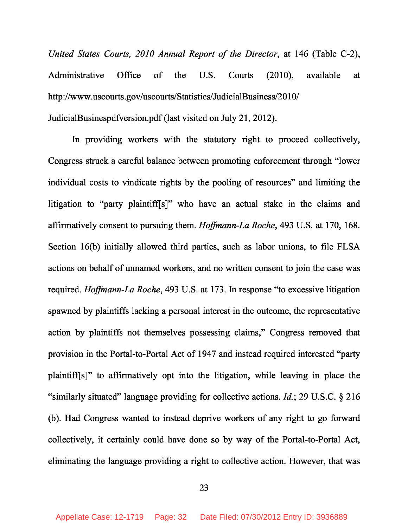*United States Courts, 2010 Annual Report of the Director*, at 146 (Table C-2), Administrative Office of the U.S. Courts (2010), available at http://www.uscourts.gov/uscourts/Statistics/JudicialBusiness/2010/ JudicialBusinespdfversion.pdf (last visited on July 21, 2012).

In providing workers with the statutory right to proceed collectively, Congress struck a careful balance between promoting enforcement through "lower individual costs to vindicate rights by the pooling of resources" and limiting the litigation to "party plaintiff[s]" who have an actual stake in the claims and affirmatively consent to pursuing them. *Hoffmann-La Roche*, 493 U.S. at 170, 168. Section 16(b) initially allowed third parties, such as labor unions, to file FLSA actions on behalf of unnamed workers, and no written consent to join the case was required. *Hoffmann-La Roche*, 493 U.S. at 173. In response "to excessive litigation spawned by plaintiffs lacking a personal interest in the outcome, the representative action by plaintiffs not themselves possessing claims," Congress removed that provision in the Portal-to-Portal Act of 1947 and instead required interested "party plaintiff[s]" to affirmatively opt into the litigation, while leaving in place the "similarly situated" language providing for collective actions. *Id.* ; 29 U.S.C. § 216 (b). Had Congress wanted to instead deprive workers of any right to go forward collectively, it certainly could have done so by way of the Portal-to-Portal Act, eliminating the language providing a right to collective action. However, that was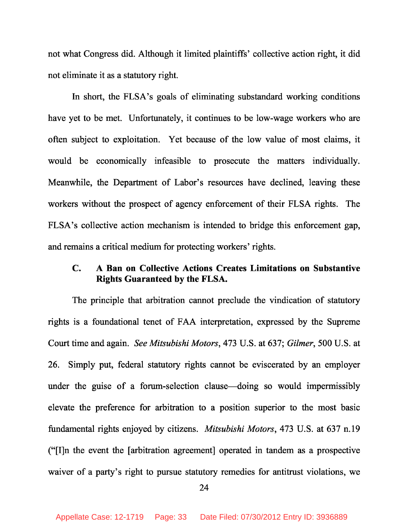not what Congress did. Although it limited plaintiffs' collective action right, it did not eliminate it as a statutory right.

In short, the FLSA's goals of eliminating substandard working conditions have yet to be met. Unfortunately, it continues to be low-wage workers who are often subject to exploitation. Yet because of the low value of most claims, it would be economically infeasible to prosecute the matters individually. Meanwhile, the Department of Labor's resources have declined, leaving these workers without the prospect of agency enforcement of their FLSA rights. The FLSA's collective action mechanism is intended to bridge this enforcement gap, and remains a critical medium for protecting workers' rights.

### **C. A Ban on Collective Actions Creates Limitations on Substantive Rights Guaranteed by the FLSA.**

The principle that arbitration cannot preclude the vindication of statutory rights is a foundational tenet of FAA interpretation, expressed by the Supreme Court time and again. *See Mitsubishi Motors*, 473 U.S. at 637; *Gilmer*, 500 U.S. at 26. Simply put, federal statutory rights cannot be eviscerated by an employer under the guise of a forum-selection clause—doing so would impermissibly elevate the preference for arbitration to a position superior to the most basic fundamental rights enjoyed by citizens. *Mitsubishi Motors*, 473 U.S. at 637 n.19 ("[I]n the event the [arbitration agreement] operated in tandem as a prospective waiver of a party's right to pursue statutory remedies for antitrust violations, we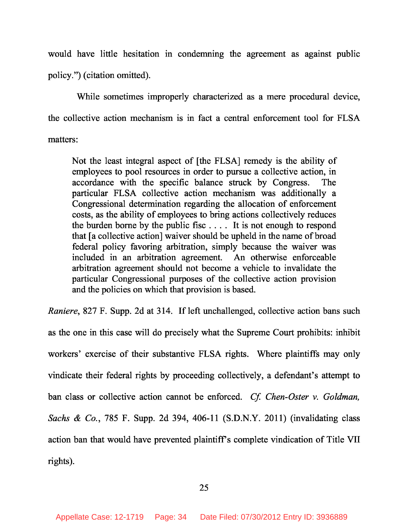would have little hesitation in condemning the agreement as against public policy.") (citation omitted).

While sometimes improperly characterized as a mere procedural device, the collective action mechanism is in fact a central enforcement tool for FLSA matters:

Not the least integral aspect of [the FLSA] remedy is the ability of employees to pool resources in order to pursue a collective action, in accordance with the specific balance struck by Congress. The particular FLSA collective action mechanism was additionally a Congressional determination regarding the allocation of enforcement costs, as the ability of employees to bring actions collectively reduces the burden borne by the public fisc . . . . It is not enough to respond that [a collective action] waiver should be upheld in the name of broad federal policy favoring arbitration, simply because the waiver was included in an arbitration agreement. An otherwise enforceable arbitration agreement should not become a vehicle to invalidate the particular Congressional purposes of the collective action provision and the policies on which that provision is based.

*Raniere*, 827 F. Supp. 2d at 314. If left unchallenged, collective action bans such as the one in this case will do precisely what the Supreme Court prohibits: inhibit workers' exercise of their substantive FLSA rights. Where plaintiffs may only vindicate their federal rights by proceeding collectively, a defendant's attempt to ban class or collective action cannot be enforced. *Cf. Chen-Oster v. Goldman, Sachs & Co.* , 785 F. Supp. 2d 394, 406-11 (S.D.N.Y. 2011) (invalidating class action ban that would have prevented plaintiff's complete vindication of Title VII rights).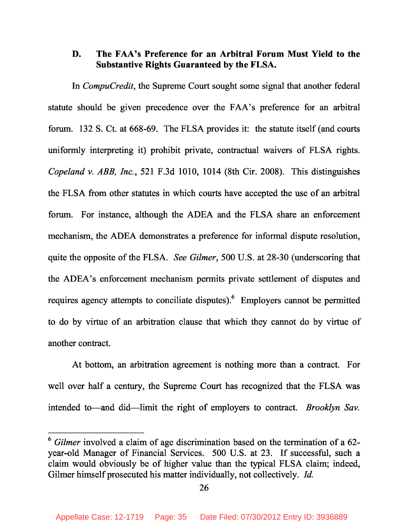### **D. The FAA's Preference for an Arbitral Forum Must Yield to the Substantive Rights Guaranteed by the FLSA.**

In *CompuCredit*, the Supreme Court sought some signal that another federal statute should be given precedence over the FAA's preference for an arbitral forum. 132 S. Ct. at 668-69. The FLSA provides it: the statute itself (and courts uniformly interpreting it) prohibit private, contractual waivers of FLSA rights. *Copeland v. ABB, Inc.* , 521 F.3d 1010, 1014 (8th Cir. 2008). This distinguishes the FLSA from other statutes in which courts have accepted the use of an arbitral forum. For instance, although the ADEA and the FLSA share an enforcement mechanism, the ADEA demonstrates a preference for informal dispute resolution, quite the opposite of the FLSA. *See Gilmer*, 500 U.S. at 28-30 (underscoring that the ADEA's enforcement mechanism permits private settlement of disputes and requires agency attempts to conciliate disputes). <sup>6</sup> Employers cannot be permitted to do by virtue of an arbitration clause that which they cannot do by virtue of another contract.

At bottom, an arbitration agreement is nothing more than a contract. For well over half a century, the Supreme Court has recognized that the FLSA was intended to—and did—limit the right of employers to contract. *Brooklyn Sav.*

<sup>6</sup> *Gilmer* involved a claim of age discrimination based on the termination of a 62 year-old Manager of Financial Services. 500 U.S. at 23. If successful, such a claim would obviously be of higher value than the typical FLSA claim; indeed, Gilmer himself prosecuted his matter individually, not collectively. *Id.*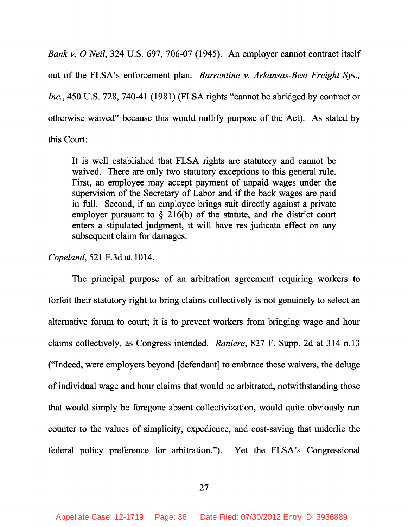*Bank v. O'Neil*, 324 U.S. 697, 706-07 (1945). An employer cannot contract itself out of the FLSA's enforcement plan. *Barrentine v. Arkansas-Best Freight Sys., Inc.* , 450 U.S. 728, 740-41 (1981) (FLSA rights "cannot be abridged by contract or otherwise waived" because this would nullify purpose of the Act). As stated by this Court:

It is well established that FLSA rights are statutory and cannot be waived. There are only two statutory exceptions to this general rule. First, an employee may accept payment of unpaid wages under the supervision of the Secretary of Labor and if the back wages are paid in full. Second, if an employee brings suit directly against a private employer pursuant to § 216(b) of the statute, and the district court enters a stipulated judgment, it will have res judicata effect on any subsequent claim for damages.

#### *Copeland*, 521 F.3d at 1014.

The principal purpose of an arbitration agreement requiring workers to forfeit their statutory right to bring claims collectively is not genuinely to select an alternative forum to court; it is to prevent workers from bringing wage and hour claims collectively, as Congress intended. *Raniere*, 827 F. Supp. 2d at 314 n.13 ("Indeed, were employers beyond [defendant] to embrace these waivers, the deluge of individual wage and hour claims that would be arbitrated, notwithstanding those that would simply be foregone absent collectivization, would quite obviously run counter to the values of simplicity, expedience, and cost-saving that underlie the federal policy preference for arbitration."). Yet the FLSA's Congressional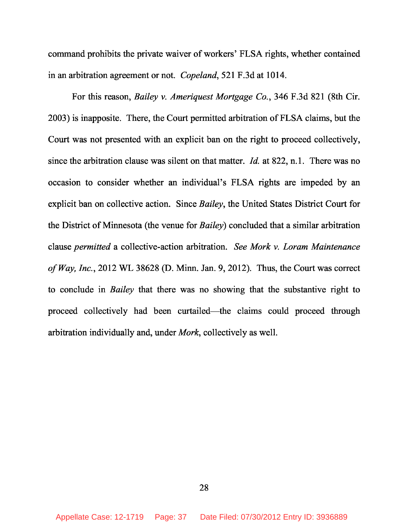command prohibits the private waiver of workers' FLSA rights, whether contained in an arbitration agreement or not. *Copeland*, 521 F.3d at 1014.

For this reason, *Bailey v. Ameriquest Mortgage Co.* , 346 F.3d 821 (8th Cir. 2003) is inapposite. There, the Court permitted arbitration of FLSA claims, but the Court was not presented with an explicit ban on the right to proceed collectively, since the arbitration clause was silent on that matter. *Id.* at 822, n.1. There was no occasion to consider whether an individual's FLSA rights are impeded by an explicit ban on collective action. Since *Bailey*, the United States District Court for the District of Minnesota (the venue for *Bailey*) concluded that a similar arbitration clause *permitted* a collective-action arbitration. *See Mork v. Loram Maintenance of Way, Inc.* , 2012 WL 38628 (D. Minn. Jan. 9, 2012). Thus, the Court was correct to conclude in *Bailey* that there was no showing that the substantive right to proceed collectively had been curtailed—the claims could proceed through arbitration individually and, under *Mork*, collectively as well.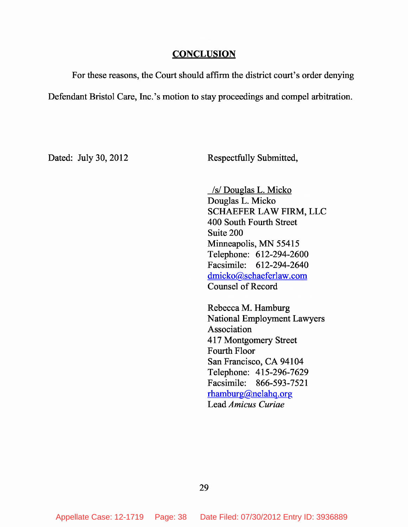#### **CONCLUSION**

For these reasons, the Court should affirm the district court's order denying Defendant Bristol Care, Inc.'s motion to stay proceedings and compel arbitration.

Dated: July 30, 2012 Respectfully Submitted,

/s/ Douglas L. Micko Douglas L. Micko SCHAEFER LAW FIRM, LLC 400 South Fourth Street Suite 200 Minneapolis, MN 55415 Telephone: 612-294-2600 Facsimile: 612-294-2640 dmicko@schaeferlaw.com Counsel of Record

Rebecca M. Hamburg National Employment Lawyers Association 417 Montgomery Street Fourth Floor San Francisco, CA 94104 Telephone: 415-296-7629 Facsimile: 866-593-7521 rhamburg@nelahq.org Lead *Amicus Curiae*